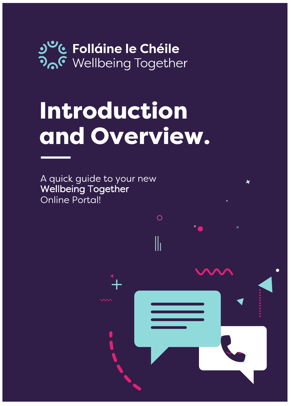

# Introduction and Overview.

 $\bigcirc$ 

 $\|$ 

A quick guide to your new Wellbeing Together Online Portal!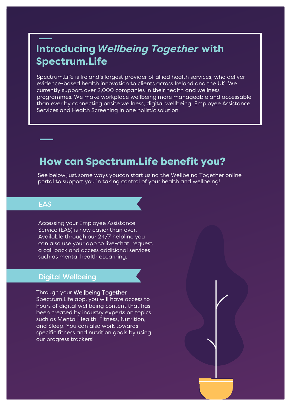## Introducing Wellbeing Together with **Spectrum.Life**

Spectrum.Life is Ireland's largest provider of allied health services, who deliver evidence-based health innovation to clients across Ireland and the UK. We currently support over 2,000 companies in their health and wellness programmes. We make workplace wellbeing more manageable and accessable than ever by connecting onsite wellness, digital wellbeing, Employee Assistance Services and Health Screening in one holistic solution.

### How can Spectrum. Life benefit you?

See below just some ways youcan start using the Wellbeing Together online portal to support you in taking control of your health and wellbeing!

#### **FAS**

Accessing your Employee Assistance Service (EAS) is now easier than ever. Available through our 24/7 helpline you can also use your app to live-chat, request a call back and access additional services such as mental health eLearning.

#### **Digital Wellbeing**

#### Through your Wellbeing Together

Spectrum. Life app, you will have access to hours of digital wellbeing content that has been created by industry experts on topics such as Mental Health, Fitness, Nutrition, and Sleep. You can also work towards specific fitness and nutrition goals by using our progress trackers!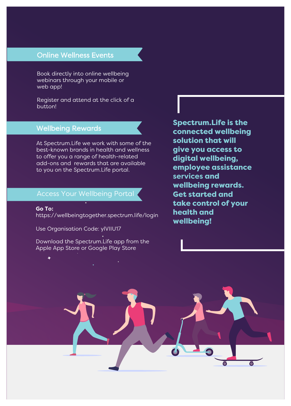#### **Online Wellness Events**

Book directly into online wellbeing webinars through your mobile or web app!

Register and attend at the click of a button!

#### **Wellbeing Rewards**

At Spectrum. Life we work with some of the best-known brands in health and wellness to offer you a range of health-related add-ons and rewards that are available to you on the Spectrum. Life portal.

#### **Access Your Wellbeing Portal**

Go To: https://wellbeingtogether.spectrum.life/login

Use Organisation Code: ylVIIU17

Download the Spectrum. Life app from the Apple App Store or Google Play Store

#### **Spectrum.Life is the** connected wellbeing solution that will give you access to digital wellbeing, employee assistance services and wellbeing rewards. **Get started and** take control of your health and wellbeing!